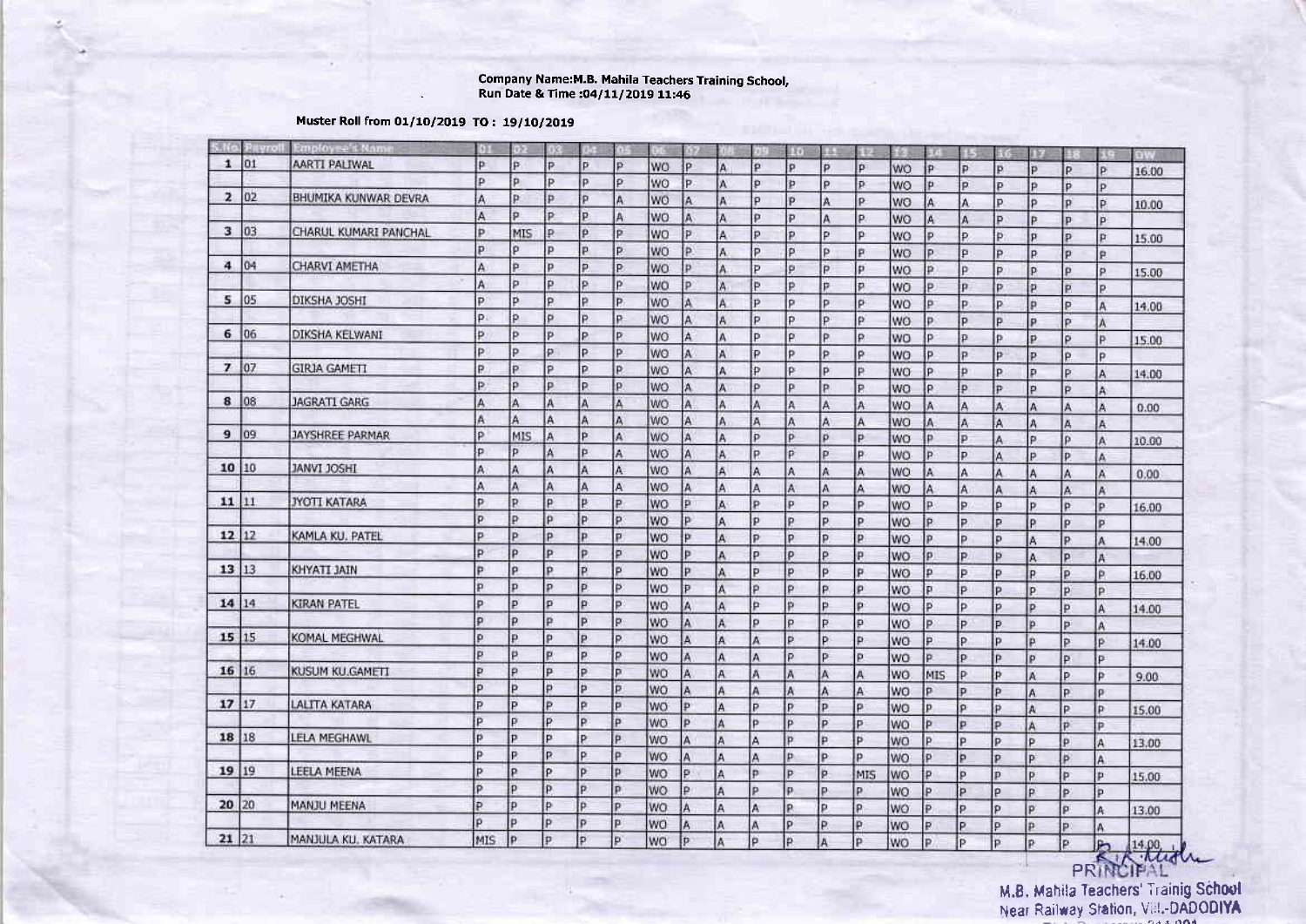## Company Name:M.8. Mahila Teachers Training School, - Run Date & Time :O4l11/2O19 1t:46

## Muster Roll from 01/10/2019 TO: 19/10/2019

|        | No. P∥yrol | Employee's Name       | 预   | ijγ.                    |              |    |    |                 | 99           |     | 935 | Ro       |          | ίR  | 9G        | 标            | 92    | ETT | 証記       |    |              | 鲜果    |
|--------|------------|-----------------------|-----|-------------------------|--------------|----|----|-----------------|--------------|-----|-----|----------|----------|-----|-----------|--------------|-------|-----|----------|----|--------------|-------|
| 1 01   |            | AARTI PALIWAL         | p   | p.                      | P.           | P  | p  | WO              | P            | A   | p   | p        | p        | p.  | WO        | <b>P</b>     | p     | p   | P        | P  | p            | 16.00 |
|        |            |                       | p   | p                       | P            | p  | P. | WO              | IP.          | A   | p   | Þ        | p.       | p   | WO.       | Þ            | p     | p   | p        | P  | p            |       |
| 2 02   |            | BHUMIKA KUNWAR DEVRA  | A   | Þ                       | p            | p  | A  | WO              | A.           | A   | p   | p.       | A        | P.  | WO        | lA.          | A     | P.  | p        | P  | p            | 10.00 |
|        |            |                       | A   | p                       | P            | p  | A  | WO              | A            | A   | p   | Þ        | A        | P.  | WO        | IA.          | A     | Þ   | P        | P  | p.           |       |
| 3   03 |            | CHARUL KUMARI PANCHAL | Þ   | MIS                     | p            | p  | p  | WO              | Þ.           | Α   | Þ   | P.       | Þ        | P   | WO        | İÞ.          | p.    | Þ.  | p        | p  | p            | 15.00 |
|        |            |                       | p   | ö                       | P            | p  | P  | <b>WO</b>       | p.           | A   | p   | p.       | Þ        | P   | WO        | Þ            | $p_i$ | Þ.  | p        | p  | p,           |       |
| 4 04   |            | <b>CHARVI AMETHA</b>  | A   | Þ                       | p            | p. | P  | <b>WO</b>       | <b>D</b>     | ٨   | P   | p        | P        | Þ   | WO        | p.           | p     | P   | p        | p  | p.           | 15:00 |
|        |            |                       | A   | p                       | p            | p  | P  | wo              | P            | A   | Þ   | P        | P        | p   | WO        | p            | p.    | Þ   | P        | P  | P.           |       |
| 5 05   |            | DIKSHA JOSHI          | p   | Þ                       | p            | P. | P  | <b>WO</b>       | A            | A   | p   | P        | P        | p   | <b>WO</b> | p            | p.    | P   | p        | P  | A.           | 14.00 |
|        |            |                       | p.  | p                       | $\mathbf{p}$ | p  | P  | WO.             | A            | A   | p   | P        | p        | p   | WO        | P            | p     | p   | p        | Þ  | À            |       |
|        | 6 06       | DIKSHA KELWANI        | Þ.  | Þ                       | p            | p. | P  | wo              | A            | Ä   | p   | p.       | p        | p.  | WO        | P            | p     | Þ   | p        | p  | Þ            | 15.00 |
|        |            |                       | P   | Þ                       | p            | P. | P  | <b>WO</b>       | Ä            | Ä   | Ρ   | p.       | p        | p   | WO.       | P.           | p     | Þ   | p        | p  | P            |       |
| 7 07   |            | <b>GIRJA GAMETI</b>   | P   | P                       | P            | p  | P  | <b>WO</b>       | A            | А   | P   | <b>P</b> | Þ        | P.  | WO        | P            | Þ     | P   | p        | P  | A            | 14.00 |
|        |            |                       | Þ   | Þ                       | Þ            | P  | p  | <b>WO</b>       | A            | ٨   | p   | P        | Þ        | P.  | WO        | b.           | p.    | P   | p.       | P  | A            |       |
| 8 08   |            | JAGRATI GARG          | A   | Α                       | A            | A  | A  | lwo             | A            | A   | A   | A        | A        | A   | WO        | A            | A     | A   | A        | A  | A            | 0.00  |
|        |            |                       | A   | Α                       | A            | Ä  | A  | WO              | A            | A   | Ä   | A        | A        | A   | WO        | A            | A.    | A   | A        | A  | A            |       |
| 9.09.  |            | JAYSHREE PARMAR       | P   | MIS                     | A            | P  | A  | <b>WO</b>       | A            | Α   | P   | p        | p        | P   | <b>WO</b> | Þ            | p     | A   | Þ        | P  | A            | 10.00 |
|        |            |                       | P   | P                       | А            | P  | Ä  | WO              | Ä            | A   | P   | P        | p        | P   | <b>WO</b> | p.           | P     | A   | P        | Þ  | A            |       |
| 10 10  |            | <b>IHZOL IVANL</b>    | A   | A                       | A            | A  | A  | WO.             | Ä            | Ä   | A   | A        | Ä        | Ä   | WO        | A            | A     | A   | Ä        | A  | Ä            | 0.00  |
|        |            |                       | A   | A                       | A            | A  | Ā  | <b>WO</b>       | A            | A   | A   | Ä        | A        | A   | <b>WO</b> | A            | A     |     | A        | Ä  | A            |       |
| 11 11  |            | <b>JYOTI KATARA</b>   | p   | P.                      | p            | P  | P  | <b>WO</b>       | p            | Ā   | P   | p        | p.       | P   | WO        | p.           | P.    | p   | P        | Þ  | Þ            | 16.00 |
|        |            |                       | p   | P                       | p            | Þ  | p  | WO              | Þ            | A   | p   | P        | P        | P   | WO        | p            | P.    | p   | P        | p. | P            |       |
| 12 12  |            | KAMLA KU. PATEL       | p   | Þ                       | lp.          | Þ  | p  | WO              | p.           | A   | p   | p        | P.       | P   | WO        | P.           | Þ     | p   | A        | P  | A            | 14.00 |
|        |            |                       | b   | Þ                       | Þ            | P. | ö  | WO              | b.           | Ä   | p   | p        | Þ        | p   | WO        | $\mathbf{p}$ | Þ     | Þ   | A        | p  | A            |       |
| 13 13  |            | KHYATI JAIN           | p   | p                       | p            | Þ  | p  | WO              | Þ            | A   | p   | p        | P        | p.  | WO        | p            | Þ     | p   | P        | p  | P            | 16.00 |
|        |            |                       | p   | p                       | P            | p. | Þ  | WO              | p            | ٨   | P   | Þ        | P        | p.  | WO        | p            | p     | P   | p.       | p. | p            |       |
| 14 14  |            | <b>KIRAN PATEL</b>    | p   | Þ                       | P            | p. | Þ  | <b>WO</b>       | A            | A   | P   | p        | Þ        | p.  | WO        | p            | P     | p   | p        | Þ  | A            | 14.00 |
|        |            |                       | p   | p.                      | p            | Þ  | Þ  | <b>WO</b>       | A            | A   | p   | p        | <b>P</b> | p   | WO        | p.           | P     | P.  | Þ        | Þ  | A            |       |
| 15 15  |            | KOMAL MEGHWAL         | ø   | $\overline{\mathbf{P}}$ | p            | P. | P. | <b>WO</b>       | A            | A   | A   | p        | Þ        | p.  | WO        | p            | P     | P   | Þ        | p  | p            | 14.00 |
|        |            |                       | p   | p.                      | p            | P. | Þ  | wo              | IA           | A   | A   | p        | <b>P</b> | p   | WO        | Þ.           | p     | p   | p        | p  | p            |       |
| 16 16  |            | KUSUM KU.GAMETI       | ø   | p                       | p            | p  | p  | WO              | A.           | A   | Â   | A        | A        | A.  | WO        | MIS          | P     | P   | A        | P  | P.           | 9.00  |
|        |            |                       | p   | Þ                       | b            | P  | Þ  | WO              | A            | A   | A   | A        | A        | A   | WO        | Þ            | p     | P   | Ä        | p  | $\mathbf{p}$ |       |
| 17 17  |            | LALITA KATARA         | p   | p                       | Þ            | P  | p  | WO              | Þ            | A   | P   | p        | P        | P   | WO        | p            | P     | P   | A        | P  | P            | 15.00 |
|        |            |                       | p   | p.                      | P            | P  | p  | WO              | Þ            | IA. | p   | p        | p        | p.  | WO        | Þ            | Þ     | p   | A        | p  | P            |       |
| 18 18  |            | LELA MEGHAWL          | Þ   | Þ                       | P            | p. | P  | WO              | $\mathbf{A}$ | l٨  | A   | p.       | p        | P   | WO        | p.           | p     | P   | p        | p  | A            | 13.00 |
|        |            |                       | P   | P                       | R            | P. | P  | <b>WO</b>       | A            | lA. | A   | Þ        | P        | p   | WO        | p            | Þ     | p   | p        | Þ  | A            |       |
| 19 19  |            | LEELA MEENA           | p   | p                       | p            | p. | P  | WO:             | P.           | IA. | P   | P        | P.       | MIS | <b>WO</b> | p            | p     | p   | p.       | Þ  | p.           | 15.00 |
|        |            |                       | p   | p                       | İP.          | P. | P  | WO <sub>1</sub> | P            | İA  | P   | p        | P        | P   | WO        | p.           | P     | p   | P.       | Þ  | Þ            |       |
| 20 20  |            | MANJU MEENA           | Þ   | p                       | Þ            | p  | p  | WO              | A            | IA. | A   | p        | p        | p.  | WO        | P.           | P     | D   | p.       | p  | A            | 13.00 |
|        |            |                       | p   | Þ                       | l p          | p  | p  | WO              | A            | IA. | A   | p        | P        | p   | WO        | Þ            | P     | p   | p.       | P  | A            |       |
| 21 21  |            | MANJULA KU, KATARA    | MIS | Þ                       | P            | Þ  | p  | <b>WO</b>       | <b>Ip</b>    | lA. | p   | p        | l A      | p   | <b>WO</b> | p            | İÞ.   | b   | <b>P</b> | Þ  | <b>P</b>     | 14.00 |

PR M.B. Mahila Teachers' Trainig School

Near Railuay Station, V;:i.-DADODIYA